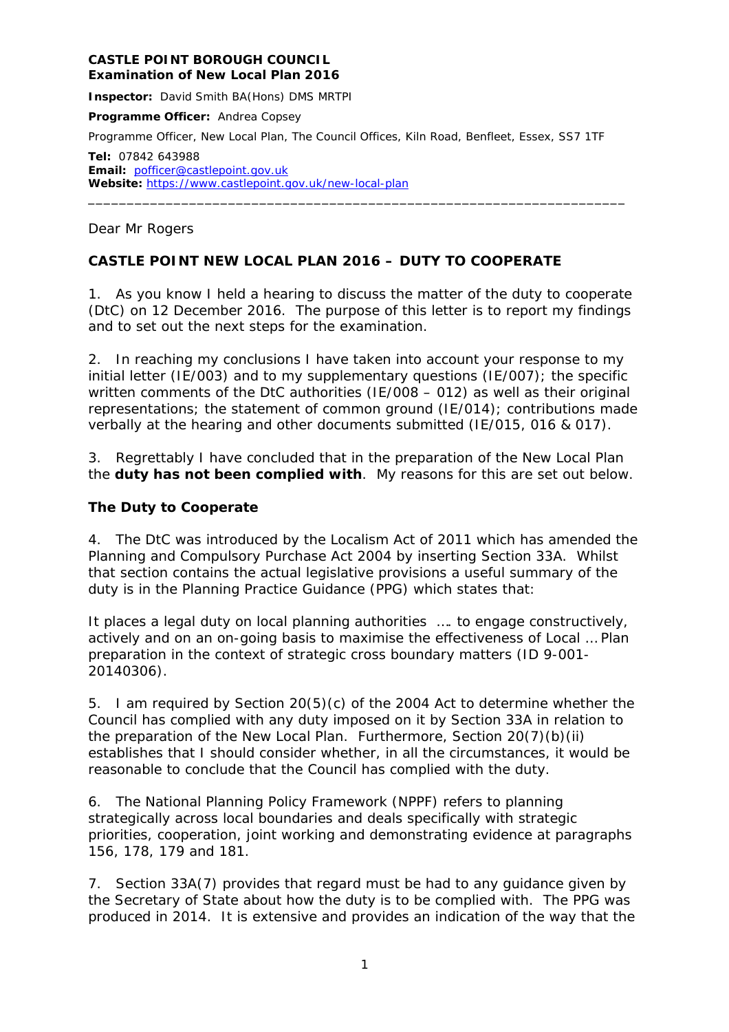#### **CASTLE POINT BOROUGH COUNCIL Examination of New Local Plan 2016**

**Inspector:** David Smith BA(Hons) DMS MRTPI

**Programme Officer:** Andrea Copsey

Programme Officer, New Local Plan, The Council Offices, Kiln Road, Benfleet, Essex, SS7 1TF

**Tel:** 07842 643988 **Email:** [pofficer@castlepoint.gov.uk](mailto:pofficer@castlepoint.gov.uk) Website: <https://www.castlepoint.gov.uk/new-local-plan>

#### Dear Mr Rogers

### **CASTLE POINT NEW LOCAL PLAN 2016 – DUTY TO COOPERATE**

1. As you know I held a hearing to discuss the matter of the duty to cooperate (DtC) on 12 December 2016. The purpose of this letter is to report my findings and to set out the next steps for the examination.

\_\_\_\_\_\_\_\_\_\_\_\_\_\_\_\_\_\_\_\_\_\_\_\_\_\_\_\_\_\_\_\_\_\_\_\_\_\_\_\_\_\_\_\_\_\_\_\_\_\_\_\_\_\_\_\_\_\_\_\_\_\_\_\_\_\_\_\_\_

2. In reaching my conclusions I have taken into account your response to my initial letter (IE/003) and to my supplementary questions (IE/007); the specific written comments of the DtC authorities (IE/008 – 012) as well as their original representations; the statement of common ground (IE/014); contributions made verbally at the hearing and other documents submitted (IE/015, 016 & 017).

3. Regrettably I have concluded that in the preparation of the New Local Plan the **duty has not been complied with**. My reasons for this are set out below.

#### **The Duty to Cooperate**

4. The DtC was introduced by the Localism Act of 2011 which has amended the Planning and Compulsory Purchase Act 2004 by inserting Section 33A. Whilst that section contains the actual legislative provisions a useful summary of the duty is in the Planning Practice Guidance (PPG) which states that:

*It places a legal duty on local planning authorities …. to engage constructively, actively and on an on-going basis to maximise the effectiveness of Local … Plan preparation in the context of strategic cross boundary matters* (ID 9-001- 20140306).

5. I am required by Section 20(5)(c) of the 2004 Act to determine whether the Council has complied with any duty imposed on it by Section 33A in relation to the preparation of the New Local Plan. Furthermore, Section 20(7)(b)(ii) establishes that I should consider whether, in all the circumstances, it would be reasonable to conclude that the Council has complied with the duty.

6. The National Planning Policy Framework (NPPF) refers to planning strategically across local boundaries and deals specifically with strategic priorities, cooperation, joint working and demonstrating evidence at paragraphs 156, 178, 179 and 181.

7. Section 33A(7) provides that regard must be had to any guidance given by the Secretary of State about how the duty is to be complied with. The PPG was produced in 2014. It is extensive and provides an indication of the way that the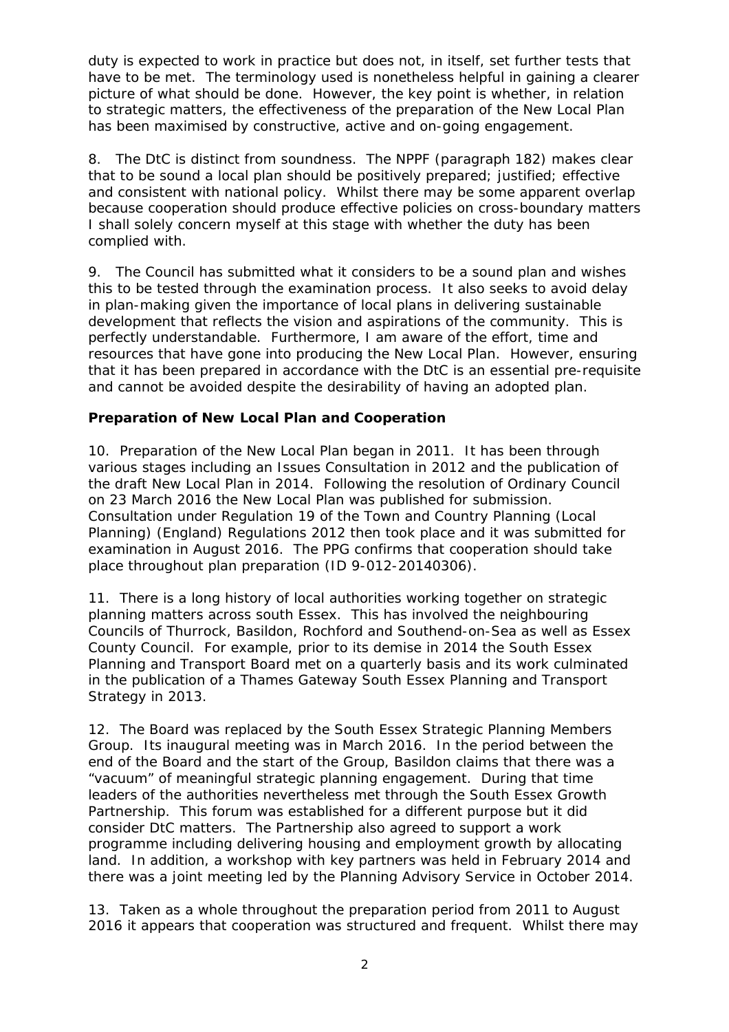duty is expected to work in practice but does not, in itself, set further tests that have to be met. The terminology used is nonetheless helpful in gaining a clearer picture of what should be done. However, the key point is whether, in relation to strategic matters, the effectiveness of the preparation of the New Local Plan has been maximised by constructive, active and on-going engagement.

8. The DtC is distinct from soundness.The NPPF (paragraph 182) makes clear that to be sound a local plan should be positively prepared; justified; effective and consistent with national policy. Whilst there may be some apparent overlap because cooperation should produce effective policies on cross-boundary matters I shall solely concern myself at this stage with whether the duty has been complied with.

9. The Council has submitted what it considers to be a sound plan and wishes this to be tested through the examination process. It also seeks to avoid delay in plan-making given the importance of local plans in delivering sustainable development that reflects the vision and aspirations of the community. This is perfectly understandable. Furthermore, I am aware of the effort, time and resources that have gone into producing the New Local Plan. However, ensuring that it has been prepared in accordance with the DtC is an essential pre-requisite and cannot be avoided despite the desirability of having an adopted plan.

## **Preparation of New Local Plan and Cooperation**

10. Preparation of the New Local Plan began in 2011. It has been through various stages including an Issues Consultation in 2012 and the publication of the draft New Local Plan in 2014. Following the resolution of Ordinary Council on 23 March 2016 the New Local Plan was published for submission. Consultation under Regulation 19 of the Town and Country Planning (Local Planning) (England) Regulations 2012 then took place and it was submitted for examination in August 2016. The PPG confirms that cooperation should take place throughout plan preparation (ID 9-012-20140306).

11. There is a long history of local authorities working together on strategic planning matters across south Essex. This has involved the neighbouring Councils of Thurrock, Basildon, Rochford and Southend-on-Sea as well as Essex County Council. For example, prior to its demise in 2014 the South Essex Planning and Transport Board met on a quarterly basis and its work culminated in the publication of a Thames Gateway South Essex Planning and Transport Strategy in 2013.

12. The Board was replaced by the South Essex Strategic Planning Members Group. Its inaugural meeting was in March 2016. In the period between the end of the Board and the start of the Group, Basildon claims that there was a "vacuum" of meaningful strategic planning engagement. During that time leaders of the authorities nevertheless met through the South Essex Growth Partnership. This forum was established for a different purpose but it did consider DtC matters. The Partnership also agreed to support a work programme including delivering housing and employment growth by allocating land. In addition, a workshop with key partners was held in February 2014 and there was a joint meeting led by the Planning Advisory Service in October 2014.

13. Taken as a whole throughout the preparation period from 2011 to August 2016 it appears that cooperation was structured and frequent. Whilst there may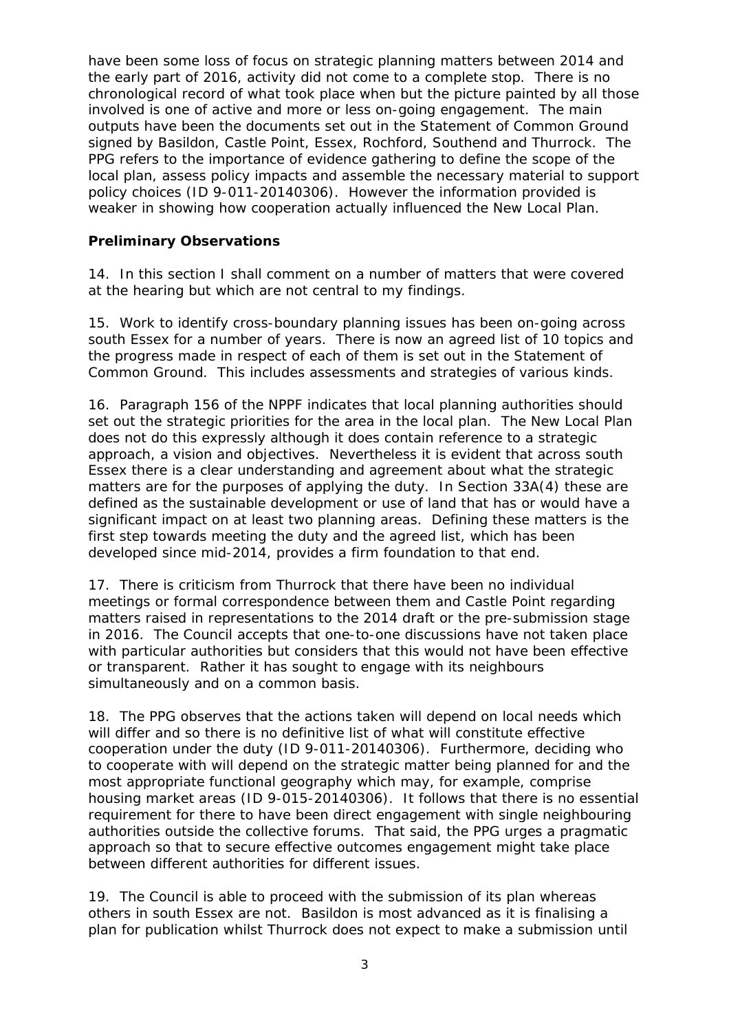have been some loss of focus on strategic planning matters between 2014 and the early part of 2016, activity did not come to a complete stop. There is no chronological record of what took place when but the picture painted by all those involved is one of active and more or less on-going engagement. The main outputs have been the documents set out in the Statement of Common Ground signed by Basildon, Castle Point, Essex, Rochford, Southend and Thurrock. The PPG refers to the importance of evidence gathering to define the scope of the local plan, assess policy impacts and assemble the necessary material to support policy choices (ID 9-011-20140306). However the information provided is weaker in showing how cooperation actually influenced the New Local Plan.

## **Preliminary Observations**

14. In this section I shall comment on a number of matters that were covered at the hearing but which are not central to my findings.

15. Work to identify cross-boundary planning issues has been on-going across south Essex for a number of years. There is now an agreed list of 10 topics and the progress made in respect of each of them is set out in the Statement of Common Ground. This includes assessments and strategies of various kinds.

16. Paragraph 156 of the NPPF indicates that local planning authorities should set out the strategic priorities for the area in the local plan. The New Local Plan does not do this expressly although it does contain reference to a strategic approach, a vision and objectives. Nevertheless it is evident that across south Essex there is a clear understanding and agreement about what the strategic matters are for the purposes of applying the duty. In Section 33A(4) these are defined as the sustainable development or use of land that has or would have a significant impact on at least two planning areas. Defining these matters is the first step towards meeting the duty and the agreed list, which has been developed since mid-2014, provides a firm foundation to that end.

17. There is criticism from Thurrock that there have been no individual meetings or formal correspondence between them and Castle Point regarding matters raised in representations to the 2014 draft or the pre-submission stage in 2016. The Council accepts that one-to-one discussions have not taken place with particular authorities but considers that this would not have been effective or transparent. Rather it has sought to engage with its neighbours simultaneously and on a common basis.

18. The PPG observes that the actions taken will depend on local needs which will differ and so there is no definitive list of what will constitute effective cooperation under the duty (ID 9-011-20140306). Furthermore, deciding who to cooperate with will depend on the strategic matter being planned for and the most appropriate functional geography which may, for example, comprise housing market areas (ID 9-015-20140306). It follows that there is no essential requirement for there to have been direct engagement with single neighbouring authorities outside the collective forums. That said, the PPG urges a pragmatic approach so that to secure effective outcomes engagement might take place between different authorities for different issues.

19. The Council is able to proceed with the submission of its plan whereas others in south Essex are not. Basildon is most advanced as it is finalising a plan for publication whilst Thurrock does not expect to make a submission until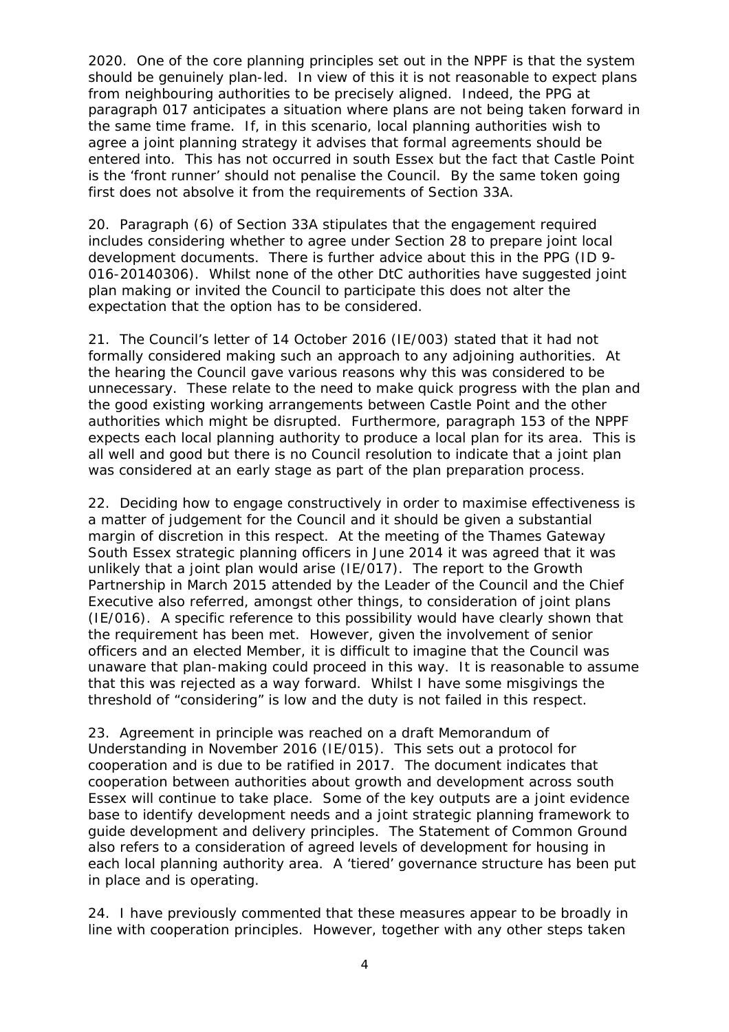2020. One of the core planning principles set out in the NPPF is that the system should be genuinely plan-led. In view of this it is not reasonable to expect plans from neighbouring authorities to be precisely aligned. Indeed, the PPG at paragraph 017 anticipates a situation where plans are not being taken forward in the same time frame. If, in this scenario, local planning authorities wish to agree a joint planning strategy it advises that formal agreements should be entered into. This has not occurred in south Essex but the fact that Castle Point is the 'front runner' should not penalise the Council. By the same token going first does not absolve it from the requirements of Section 33A.

20. Paragraph (6) of Section 33A stipulates that the engagement required includes considering whether to agree under Section 28 to prepare joint local development documents. There is further advice about this in the PPG (ID 9- 016-20140306). Whilst none of the other DtC authorities have suggested joint plan making or invited the Council to participate this does not alter the expectation that the option has to be considered.

21. The Council's letter of 14 October 2016 (IE/003) stated that it had not formally considered making such an approach to any adjoining authorities. At the hearing the Council gave various reasons why this was considered to be unnecessary. These relate to the need to make quick progress with the plan and the good existing working arrangements between Castle Point and the other authorities which might be disrupted. Furthermore, paragraph 153 of the NPPF expects each local planning authority to produce a local plan for its area. This is all well and good but there is no Council resolution to indicate that a joint plan was considered at an early stage as part of the plan preparation process.

22. Deciding how to engage constructively in order to maximise effectiveness is a matter of judgement for the Council and it should be given a substantial margin of discretion in this respect. At the meeting of the Thames Gateway South Essex strategic planning officers in June 2014 it was agreed that it was unlikely that a joint plan would arise (IE/017). The report to the Growth Partnership in March 2015 attended by the Leader of the Council and the Chief Executive also referred, amongst other things, to consideration of joint plans (IE/016). A specific reference to this possibility would have clearly shown that the requirement has been met. However, given the involvement of senior officers and an elected Member, it is difficult to imagine that the Council was unaware that plan-making could proceed in this way. It is reasonable to assume that this was rejected as a way forward. Whilst I have some misgivings the threshold of "considering" is low and the duty is not failed in this respect.

23. Agreement in principle was reached on a draft Memorandum of Understanding in November 2016 (IE/015). This sets out a protocol for cooperation and is due to be ratified in 2017. The document indicates that cooperation between authorities about growth and development across south Essex will continue to take place. Some of the key outputs are a joint evidence base to identify development needs and a joint strategic planning framework to guide development and delivery principles. The Statement of Common Ground also refers to a consideration of agreed levels of development for housing in each local planning authority area. A 'tiered' governance structure has been put in place and is operating.

24. I have previously commented that these measures appear to be broadly in line with cooperation principles. However, together with any other steps taken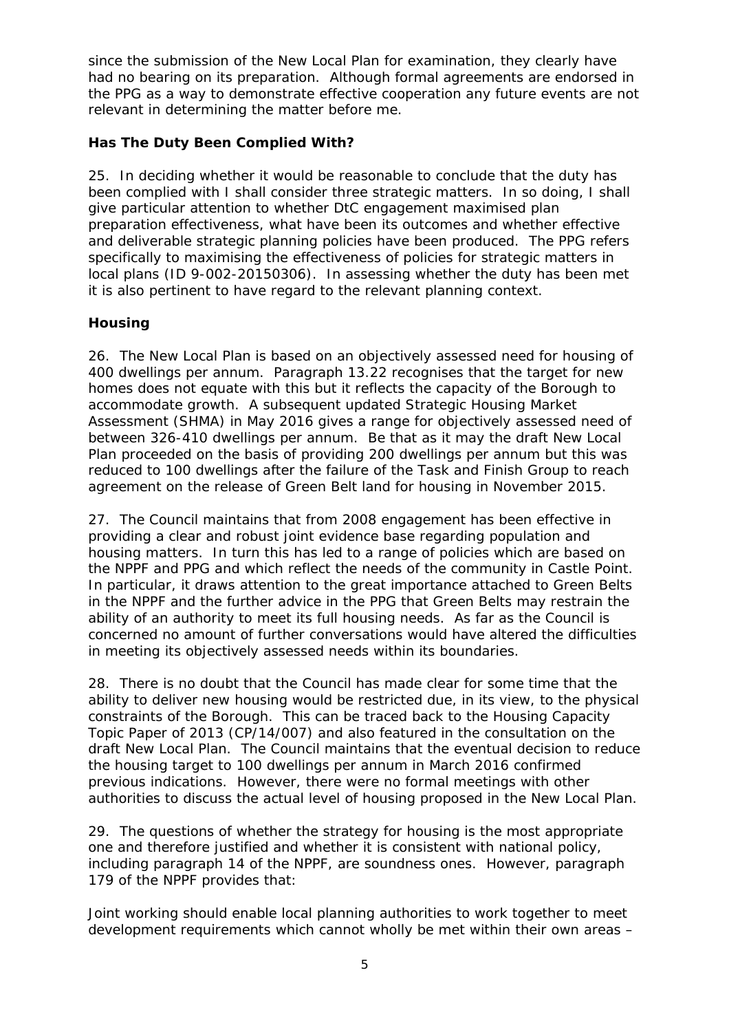since the submission of the New Local Plan for examination, they clearly have had no bearing on its preparation. Although formal agreements are endorsed in the PPG as a way to demonstrate effective cooperation any future events are not relevant in determining the matter before me.

## **Has The Duty Been Complied With?**

25. In deciding whether it would be reasonable to conclude that the duty has been complied with I shall consider three strategic matters. In so doing, I shall give particular attention to whether DtC engagement maximised plan preparation effectiveness, what have been its outcomes and whether effective and deliverable strategic planning policies have been produced. The PPG refers specifically to maximising the effectiveness of policies for strategic matters in local plans (ID 9-002-20150306). In assessing whether the duty has been met it is also pertinent to have regard to the relevant planning context.

# *Housing*

26. The New Local Plan is based on an objectively assessed need for housing of 400 dwellings per annum. Paragraph 13.22 recognises that the target for new homes does not equate with this but it reflects the capacity of the Borough to accommodate growth. A subsequent updated Strategic Housing Market Assessment (SHMA) in May 2016 gives a range for objectively assessed need of between 326-410 dwellings per annum. Be that as it may the draft New Local Plan proceeded on the basis of providing 200 dwellings per annum but this was reduced to 100 dwellings after the failure of the Task and Finish Group to reach agreement on the release of Green Belt land for housing in November 2015.

27. The Council maintains that from 2008 engagement has been effective in providing a clear and robust joint evidence base regarding population and housing matters. In turn this has led to a range of policies which are based on the NPPF and PPG and which reflect the needs of the community in Castle Point. In particular, it draws attention to the great importance attached to Green Belts in the NPPF and the further advice in the PPG that Green Belts may restrain the ability of an authority to meet its full housing needs. As far as the Council is concerned no amount of further conversations would have altered the difficulties in meeting its objectively assessed needs within its boundaries.

28. There is no doubt that the Council has made clear for some time that the ability to deliver new housing would be restricted due, in its view, to the physical constraints of the Borough. This can be traced back to the Housing Capacity Topic Paper of 2013 (CP/14/007) and also featured in the consultation on the draft New Local Plan. The Council maintains that the eventual decision to reduce the housing target to 100 dwellings per annum in March 2016 confirmed previous indications. However, there were no formal meetings with other authorities to discuss the actual level of housing proposed in the New Local Plan.

29. The questions of whether the strategy for housing is the most appropriate one and therefore justified and whether it is consistent with national policy, including paragraph 14 of the NPPF, are soundness ones. However, paragraph 179 of the NPPF provides that:

*Joint working should enable local planning authorities to work together to meet development requirements which cannot wholly be met within their own areas –*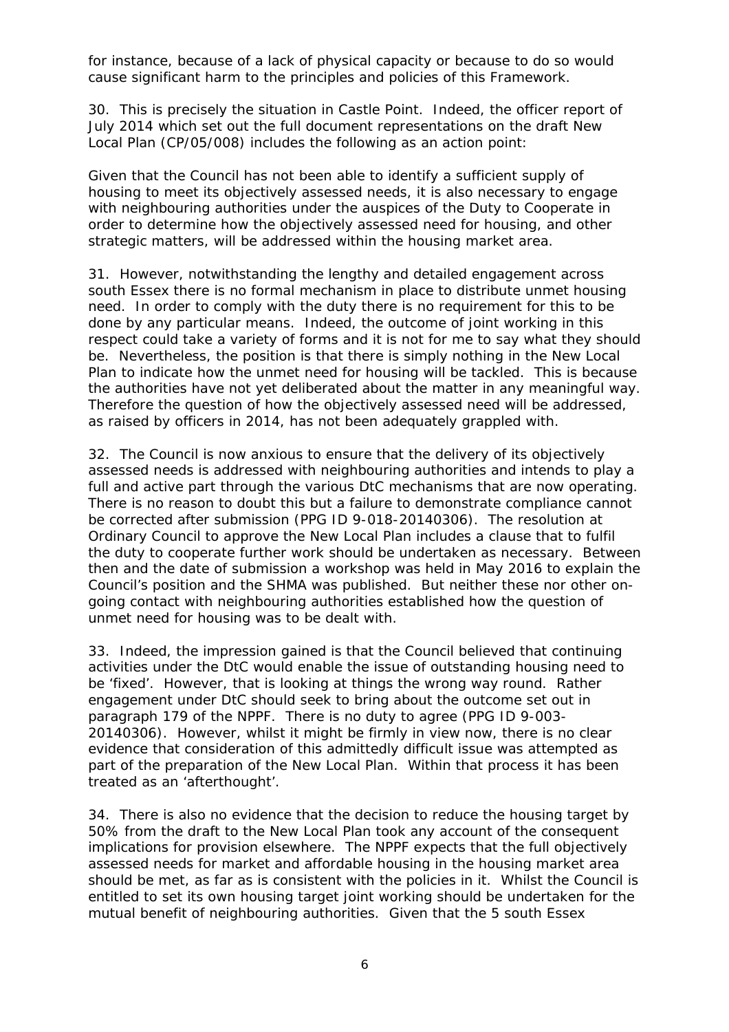*for instance, because of a lack of physical capacity or because to do so would cause significant harm to the principles and policies of this Framework.* 

30. This is precisely the situation in Castle Point. Indeed, the officer report of July 2014 which set out the full document representations on the draft New Local Plan (CP/05/008) includes the following as an action point:

*Given that the Council has not been able to identify a sufficient supply of housing to meet its objectively assessed needs, it is also necessary to engage with neighbouring authorities under the auspices of the Duty to Cooperate in order to determine how the objectively assessed need for housing, and other strategic matters, will be addressed within the housing market area.* 

31. However, notwithstanding the lengthy and detailed engagement across south Essex there is no formal mechanism in place to distribute unmet housing need. In order to comply with the duty there is no requirement for this to be done by any particular means. Indeed, the outcome of joint working in this respect could take a variety of forms and it is not for me to say what they should be. Nevertheless, the position is that there is simply nothing in the New Local Plan to indicate how the unmet need for housing will be tackled. This is because the authorities have not yet deliberated about the matter in any meaningful way. Therefore the question of how the objectively assessed need will be addressed, as raised by officers in 2014, has not been adequately grappled with.

32. The Council is now anxious to ensure that the delivery of its objectively assessed needs is addressed with neighbouring authorities and intends to play a full and active part through the various DtC mechanisms that are now operating. There is no reason to doubt this but a failure to demonstrate compliance cannot be corrected after submission (PPG ID 9-018-20140306). The resolution at Ordinary Council to approve the New Local Plan includes a clause that to fulfil the duty to cooperate further work should be undertaken as necessary. Between then and the date of submission a workshop was held in May 2016 to explain the Council's position and the SHMA was published. But neither these nor other ongoing contact with neighbouring authorities established how the question of unmet need for housing was to be dealt with.

33. Indeed, the impression gained is that the Council believed that continuing activities under the DtC would enable the issue of outstanding housing need to be 'fixed'. However, that is looking at things the wrong way round. Rather engagement under DtC should seek to bring about the outcome set out in paragraph 179 of the NPPF. There is no duty to agree (PPG ID 9-003- 20140306). However, whilst it might be firmly in view now, there is no clear evidence that consideration of this admittedly difficult issue was attempted as part of the preparation of the New Local Plan. Within that process it has been treated as an 'afterthought'.

34. There is also no evidence that the decision to reduce the housing target by 50% from the draft to the New Local Plan took any account of the consequent implications for provision elsewhere. The NPPF expects that the full objectively assessed needs for market and affordable housing in the housing market area should be met, as far as is consistent with the policies in it. Whilst the Council is entitled to set its own housing target joint working should be undertaken for the mutual benefit of neighbouring authorities. Given that the 5 south Essex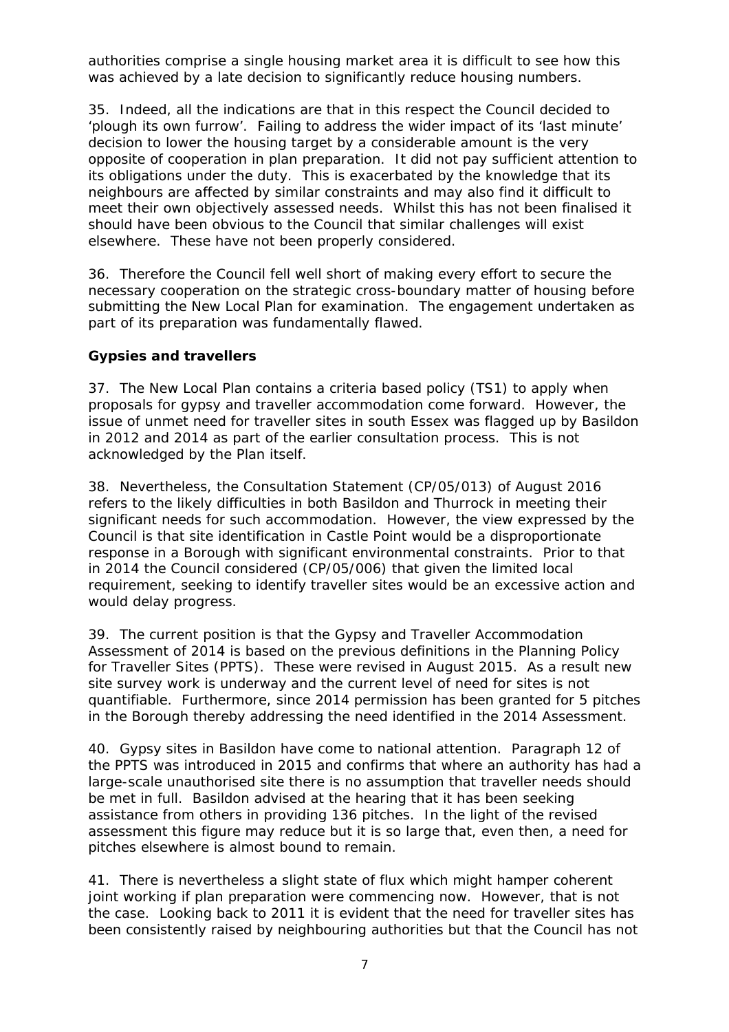authorities comprise a single housing market area it is difficult to see how this was achieved by a late decision to significantly reduce housing numbers.

35. Indeed, all the indications are that in this respect the Council decided to 'plough its own furrow'. Failing to address the wider impact of its 'last minute' decision to lower the housing target by a considerable amount is the very opposite of cooperation in plan preparation. It did not pay sufficient attention to its obligations under the duty. This is exacerbated by the knowledge that its neighbours are affected by similar constraints and may also find it difficult to meet their own objectively assessed needs. Whilst this has not been finalised it should have been obvious to the Council that similar challenges will exist elsewhere. These have not been properly considered.

36. Therefore the Council fell well short of making every effort to secure the necessary cooperation on the strategic cross-boundary matter of housing before submitting the New Local Plan for examination. The engagement undertaken as part of its preparation was fundamentally flawed.

### *Gypsies and travellers*

37. The New Local Plan contains a criteria based policy (TS1) to apply when proposals for gypsy and traveller accommodation come forward. However, the issue of unmet need for traveller sites in south Essex was flagged up by Basildon in 2012 and 2014 as part of the earlier consultation process. This is not acknowledged by the Plan itself.

38. Nevertheless, the Consultation Statement (CP/05/013) of August 2016 refers to the likely difficulties in both Basildon and Thurrock in meeting their significant needs for such accommodation. However, the view expressed by the Council is that site identification in Castle Point would be a disproportionate response in a Borough with significant environmental constraints. Prior to that in 2014 the Council considered (CP/05/006) that given the limited local requirement, seeking to identify traveller sites would be an excessive action and would delay progress.

39. The current position is that the Gypsy and Traveller Accommodation Assessment of 2014 is based on the previous definitions in the Planning Policy for Traveller Sites (PPTS). These were revised in August 2015. As a result new site survey work is underway and the current level of need for sites is not quantifiable. Furthermore, since 2014 permission has been granted for 5 pitches in the Borough thereby addressing the need identified in the 2014 Assessment.

40. Gypsy sites in Basildon have come to national attention. Paragraph 12 of the PPTS was introduced in 2015 and confirms that where an authority has had a large-scale unauthorised site there is no assumption that traveller needs should be met in full. Basildon advised at the hearing that it has been seeking assistance from others in providing 136 pitches. In the light of the revised assessment this figure may reduce but it is so large that, even then, a need for pitches elsewhere is almost bound to remain.

41. There is nevertheless a slight state of flux which might hamper coherent joint working if plan preparation were commencing now. However, that is not the case. Looking back to 2011 it is evident that the need for traveller sites has been consistently raised by neighbouring authorities but that the Council has not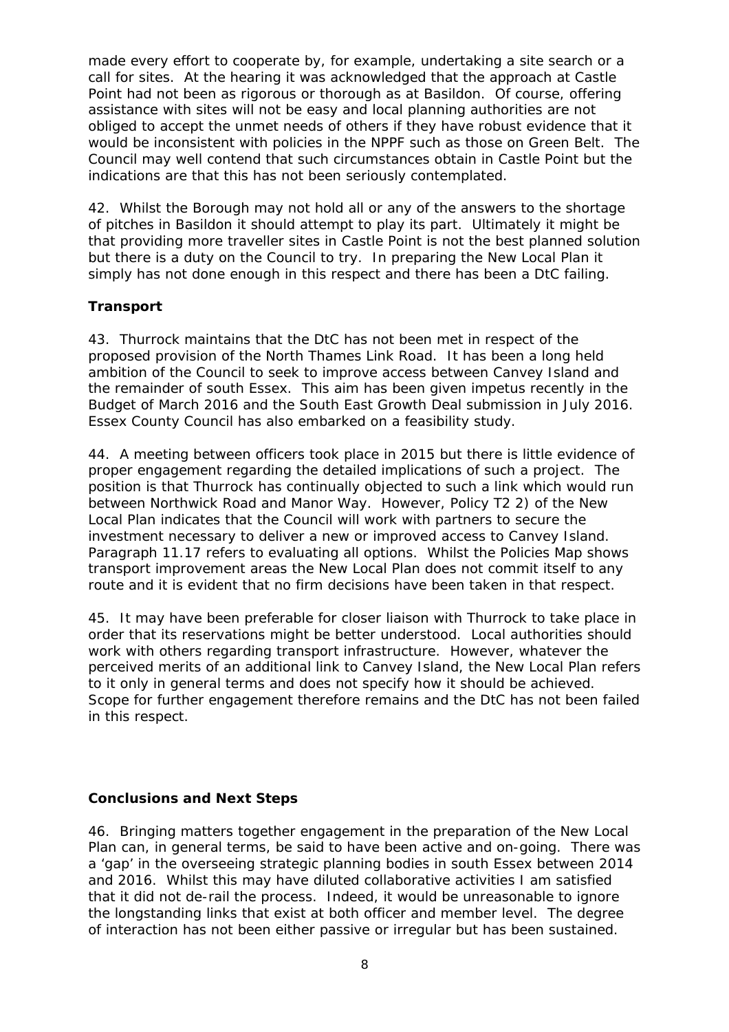made every effort to cooperate by, for example, undertaking a site search or a call for sites. At the hearing it was acknowledged that the approach at Castle Point had not been as rigorous or thorough as at Basildon. Of course, offering assistance with sites will not be easy and local planning authorities are not obliged to accept the unmet needs of others if they have robust evidence that it would be inconsistent with policies in the NPPF such as those on Green Belt. The Council may well contend that such circumstances obtain in Castle Point but the indications are that this has not been seriously contemplated.

42. Whilst the Borough may not hold all or any of the answers to the shortage of pitches in Basildon it should attempt to play its part. Ultimately it might be that providing more traveller sites in Castle Point is not the best planned solution but there is a duty on the Council to try. In preparing the New Local Plan it simply has not done enough in this respect and there has been a DtC failing.

## *Transport*

43. Thurrock maintains that the DtC has not been met in respect of the proposed provision of the North Thames Link Road. It has been a long held ambition of the Council to seek to improve access between Canvey Island and the remainder of south Essex. This aim has been given impetus recently in the Budget of March 2016 and the South East Growth Deal submission in July 2016. Essex County Council has also embarked on a feasibility study.

44. A meeting between officers took place in 2015 but there is little evidence of proper engagement regarding the detailed implications of such a project. The position is that Thurrock has continually objected to such a link which would run between Northwick Road and Manor Way. However, Policy T2 2) of the New Local Plan indicates that the Council will work with partners to secure the investment necessary to deliver a new or improved access to Canvey Island. Paragraph 11.17 refers to evaluating all options. Whilst the Policies Map shows transport improvement areas the New Local Plan does not commit itself to any route and it is evident that no firm decisions have been taken in that respect.

45. It may have been preferable for closer liaison with Thurrock to take place in order that its reservations might be better understood. Local authorities should work with others regarding transport infrastructure. However, whatever the perceived merits of an additional link to Canvey Island, the New Local Plan refers to it only in general terms and does not specify how it should be achieved. Scope for further engagement therefore remains and the DtC has not been failed in this respect.

#### **Conclusions and Next Steps**

46. Bringing matters together engagement in the preparation of the New Local Plan can, in general terms, be said to have been active and on-going. There was a 'gap' in the overseeing strategic planning bodies in south Essex between 2014 and 2016. Whilst this may have diluted collaborative activities I am satisfied that it did not de-rail the process. Indeed, it would be unreasonable to ignore the longstanding links that exist at both officer and member level. The degree of interaction has not been either passive or irregular but has been sustained.